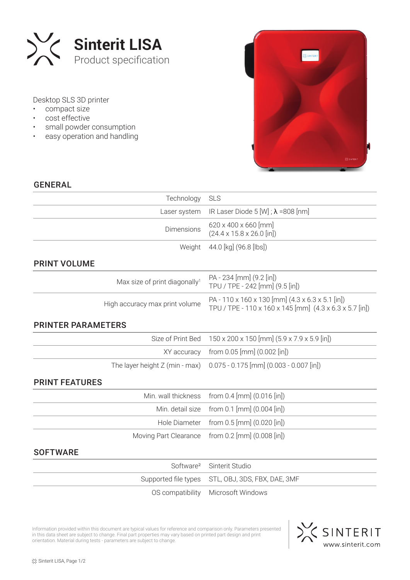

Desktop SLS 3D printer

- compact size
- cost effective
- small powder consumption
- easy operation and handling



## GENERAL

| Technology                                | <b>SLS</b>                                                                                                  |  |  |
|-------------------------------------------|-------------------------------------------------------------------------------------------------------------|--|--|
| Laser system                              | IR Laser Diode 5 [W] ; $\lambda$ =808 [nm]                                                                  |  |  |
| Dimensions                                | 620 x 400 x 660 [mm]<br>$(24.4 \times 15.8 \times 26.0$ [in])                                               |  |  |
| Weight                                    | 44.0 [kg] (96.8 [lbs])                                                                                      |  |  |
| <b>PRINT VOLUME</b>                       |                                                                                                             |  |  |
| Max size of print diagonally <sup>1</sup> | PA - 234 [mm] (9.2 [in])<br>TPU / TPE - 242 [mm] (9.5 [in])                                                 |  |  |
| High accuracy max print volume            | PA - 110 x 160 x 130 [mm] (4.3 x 6.3 x 5.1 [in])<br>TPU / TPE - 110 x 160 x 145 [mm] (4.3 x 6.3 x 5.7 [in]) |  |  |
| <b>PRINTER PARAMETERS</b>                 |                                                                                                             |  |  |
| Size of Print Bed                         | 150 x 200 x 150 [mm] (5.9 x 7.9 x 5.9 [in])                                                                 |  |  |
| XY accuracy                               | from 0.05 [mm] (0.002 [in])                                                                                 |  |  |
| The layer height $Z$ (min - max)          | $0.075 - 0.175$ [mm] $(0.003 - 0.007$ [in])                                                                 |  |  |
| <b>PRINT FEATURES</b>                     |                                                                                                             |  |  |
| Min. wall thickness                       | from 0.4 [mm] (0.016 [in])                                                                                  |  |  |
| Min. detail size                          | from 0.1 [mm] (0.004 [in])                                                                                  |  |  |
| Hole Diameter                             | from $0.5$ [mm] $(0.020$ [in])                                                                              |  |  |
| Moving Part Clearance                     | from $0.2$ [mm] $(0.008$ [in])                                                                              |  |  |
| <b>SOFTWARE</b>                           |                                                                                                             |  |  |
| Software <sup>2</sup>                     | Sinterit Studio                                                                                             |  |  |
|                                           |                                                                                                             |  |  |

| Software <sup>2</sup> Sinterit Studio             |
|---------------------------------------------------|
| Supported file types STL, OBJ, 3DS, FBX, DAE, 3MF |
| OS compatibility Microsoft Windows                |

Information provided within this document are typical values for reference and comparison only. Parameters presented in this data sheet are subject to change. Final part properties may vary based on printed part design and print orientation. Material during tests - parameters are subject to change.